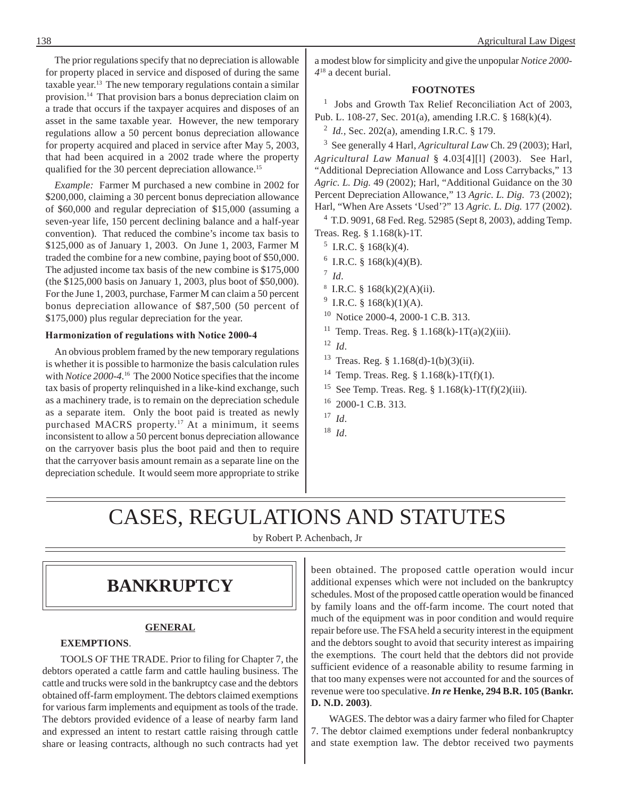The prior regulations specify that no depreciation is allowable for property placed in service and disposed of during the same taxable year.<sup>13</sup> The new temporary regulations contain a similar provision.14 That provision bars a bonus depreciation claim on a trade that occurs if the taxpayer acquires and disposes of an asset in the same taxable year. However, the new temporary regulations allow a 50 percent bonus depreciation allowance for property acquired and placed in service after May 5, 2003, that had been acquired in a 2002 trade where the property qualified for the 30 percent depreciation allowance.<sup>15</sup>

*Example:* Farmer M purchased a new combine in 2002 for \$200,000, claiming a 30 percent bonus depreciation allowance of \$60,000 and regular depreciation of \$15,000 (assuming a seven-year life, 150 percent declining balance and a half-year convention). That reduced the combine's income tax basis to \$125,000 as of January 1, 2003. On June 1, 2003, Farmer M traded the combine for a new combine, paying boot of \$50,000. The adjusted income tax basis of the new combine is \$175,000 (the \$125,000 basis on January 1, 2003, plus boot of \$50,000). For the June 1, 2003, purchase, Farmer M can claim a 50 percent bonus depreciation allowance of \$87,500 (50 percent of \$175,000) plus regular depreciation for the year.

#### **Harmonization of regulations with Notice 2000-4**

An obvious problem framed by the new temporary regulations is whether it is possible to harmonize the basis calculation rules with *Notice 2000-4*. <sup>16</sup> The 2000 Notice specifies that the income tax basis of property relinquished in a like-kind exchange, such as a machinery trade, is to remain on the depreciation schedule as a separate item. Only the boot paid is treated as newly purchased MACRS property.<sup>17</sup> At a minimum, it seems inconsistent to allow a 50 percent bonus depreciation allowance on the carryover basis plus the boot paid and then to require that the carryover basis amount remain as a separate line on the depreciation schedule. It would seem more appropriate to strike a modest blow for simplicity and give the unpopular *Notice 2000- 4*18 a decent burial.

### **FOOTNOTES**

<sup>1</sup> Jobs and Growth Tax Relief Reconciliation Act of 2003, Pub. L. 108-27, Sec. 201(a), amending I.R.C. § 168(k)(4).

2 *Id.,* Sec. 202(a), amending I.R.C. § 179.

<sup>3</sup> See generally 4 Harl, *Agricultural Law* Ch. 29 (2003); Harl, *Agricultural Law Manual* § 4.03[4][l] (2003). See Harl, "Additional Depreciation Allowance and Loss Carrybacks," 13 *Agric. L. Dig.* 49 (2002); Harl, "Additional Guidance on the 30 Percent Depreciation Allowance," 13 *Agric. L. Dig.* 73 (2002); Harl, "When Are Assets 'Used'?" 13 *Agric. L. Dig.* 177 (2002).

<sup>4</sup> T.D. 9091, 68 Fed. Reg. 52985 (Sept 8, 2003), adding Temp. Treas. Reg. § 1.168(k)-1T.

- $5$  I.R.C. § 168(k)(4).
- $6$  I.R.C. § 168(k)(4)(B).
- 7 *Id*.
- $8$  I.R.C. § 168(k)(2)(A)(ii).
- <sup>9</sup> I.R.C. § 168(k)(1)(A).
- 10 Notice 2000-4, 2000-1 C.B. 313.
- <sup>11</sup> Temp. Treas. Reg. §  $1.168(k)$ -1T(a)(2)(iii).
- 12 *Id*.
- <sup>13</sup> Treas. Reg. § 1.168(d)-1(b)(3)(ii).
- <sup>14</sup> Temp. Treas. Reg. §  $1.168(k)-1T(f)(1)$ .
- <sup>15</sup> See Temp. Treas. Reg.  $\S 1.168(k)$ -1T(f)(2)(iii).
- 16 2000-1 C.B. 313.
- 17 *Id*.
- 18 *Id*.

# CASES, REGULATIONS AND STATUTES

by Robert P. Achenbach, Jr

## **BANKRUPTCY**

### **GENERAL**

### **EXEMPTIONS**.

TOOLS OF THE TRADE. Prior to filing for Chapter 7, the debtors operated a cattle farm and cattle hauling business. The cattle and trucks were sold in the bankruptcy case and the debtors obtained off-farm employment. The debtors claimed exemptions for various farm implements and equipment as tools of the trade. The debtors provided evidence of a lease of nearby farm land and expressed an intent to restart cattle raising through cattle share or leasing contracts, although no such contracts had yet

been obtained. The proposed cattle operation would incur additional expenses which were not included on the bankruptcy schedules. Most of the proposed cattle operation would be financed by family loans and the off-farm income. The court noted that much of the equipment was in poor condition and would require repair before use. The FSA held a security interest in the equipment and the debtors sought to avoid that security interest as impairing the exemptions. The court held that the debtors did not provide sufficient evidence of a reasonable ability to resume farming in that too many expenses were not accounted for and the sources of revenue were too speculative. *In re* **Henke, 294 B.R. 105 (Bankr. D. N.D. 2003)**.

WAGES. The debtor was a dairy farmer who filed for Chapter 7. The debtor claimed exemptions under federal nonbankruptcy and state exemption law. The debtor received two payments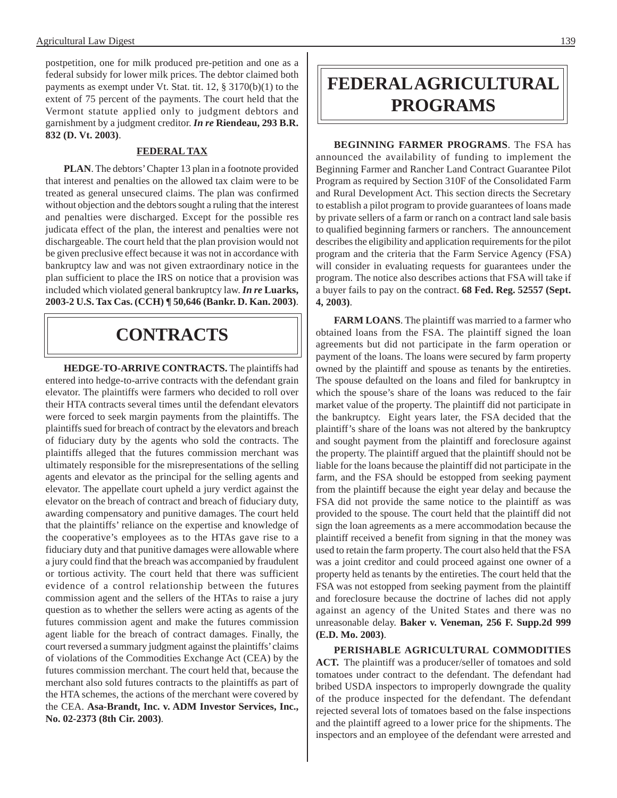postpetition, one for milk produced pre-petition and one as a federal subsidy for lower milk prices. The debtor claimed both payments as exempt under Vt. Stat. tit. 12, § 3170(b)(1) to the extent of 75 percent of the payments. The court held that the Vermont statute applied only to judgment debtors and garnishment by a judgment creditor. *In re* **Riendeau, 293 B.R. 832 (D. Vt. 2003)**.

### **FEDERAL TAX**

**PLAN**. The debtors' Chapter 13 plan in a footnote provided that interest and penalties on the allowed tax claim were to be treated as general unsecured claims. The plan was confirmed without objection and the debtors sought a ruling that the interest and penalties were discharged. Except for the possible res judicata effect of the plan, the interest and penalties were not dischargeable. The court held that the plan provision would not be given preclusive effect because it was not in accordance with bankruptcy law and was not given extraordinary notice in the plan sufficient to place the IRS on notice that a provision was included which violated general bankruptcy law. *In re* **Luarks, 2003-2 U.S. Tax Cas. (CCH) ¶ 50,646 (Bankr. D. Kan. 2003)**.

## **CONTRACTS**

**HEDGE-TO-ARRIVE CONTRACTS.** The plaintiffs had entered into hedge-to-arrive contracts with the defendant grain elevator. The plaintiffs were farmers who decided to roll over their HTA contracts several times until the defendant elevators were forced to seek margin payments from the plaintiffs. The plaintiffs sued for breach of contract by the elevators and breach of fiduciary duty by the agents who sold the contracts. The plaintiffs alleged that the futures commission merchant was ultimately responsible for the misrepresentations of the selling agents and elevator as the principal for the selling agents and elevator. The appellate court upheld a jury verdict against the elevator on the breach of contract and breach of fiduciary duty, awarding compensatory and punitive damages. The court held that the plaintiffs' reliance on the expertise and knowledge of the cooperative's employees as to the HTAs gave rise to a fiduciary duty and that punitive damages were allowable where a jury could find that the breach was accompanied by fraudulent or tortious activity. The court held that there was sufficient evidence of a control relationship between the futures commission agent and the sellers of the HTAs to raise a jury question as to whether the sellers were acting as agents of the futures commission agent and make the futures commission agent liable for the breach of contract damages. Finally, the court reversed a summary judgment against the plaintiffs' claims of violations of the Commodities Exchange Act (CEA) by the futures commission merchant. The court held that, because the merchant also sold futures contracts to the plaintiffs as part of the HTA schemes, the actions of the merchant were covered by the CEA. **Asa-Brandt, Inc. v. ADM Investor Services, Inc., No. 02-2373 (8th Cir. 2003)**.

## **FEDERAL AGRICULTURAL PROGRAMS**

**BEGINNING FARMER PROGRAMS**. The FSA has announced the availability of funding to implement the Beginning Farmer and Rancher Land Contract Guarantee Pilot Program as required by Section 310F of the Consolidated Farm and Rural Development Act. This section directs the Secretary to establish a pilot program to provide guarantees of loans made by private sellers of a farm or ranch on a contract land sale basis to qualified beginning farmers or ranchers. The announcement describes the eligibility and application requirements for the pilot program and the criteria that the Farm Service Agency (FSA) will consider in evaluating requests for guarantees under the program. The notice also describes actions that FSA will take if a buyer fails to pay on the contract. **68 Fed. Reg. 52557 (Sept. 4, 2003)**.

**FARM LOANS**. The plaintiff was married to a farmer who obtained loans from the FSA. The plaintiff signed the loan agreements but did not participate in the farm operation or payment of the loans. The loans were secured by farm property owned by the plaintiff and spouse as tenants by the entireties. The spouse defaulted on the loans and filed for bankruptcy in which the spouse's share of the loans was reduced to the fair market value of the property. The plaintiff did not participate in the bankruptcy. Eight years later, the FSA decided that the plaintiff's share of the loans was not altered by the bankruptcy and sought payment from the plaintiff and foreclosure against the property. The plaintiff argued that the plaintiff should not be liable for the loans because the plaintiff did not participate in the farm, and the FSA should be estopped from seeking payment from the plaintiff because the eight year delay and because the FSA did not provide the same notice to the plaintiff as was provided to the spouse. The court held that the plaintiff did not sign the loan agreements as a mere accommodation because the plaintiff received a benefit from signing in that the money was used to retain the farm property. The court also held that the FSA was a joint creditor and could proceed against one owner of a property held as tenants by the entireties. The court held that the FSA was not estopped from seeking payment from the plaintiff and foreclosure because the doctrine of laches did not apply against an agency of the United States and there was no unreasonable delay. **Baker v. Veneman, 256 F. Supp.2d 999 (E.D. Mo. 2003)**.

**PERISHABLE AGRICULTURAL COMMODITIES ACT.** The plaintiff was a producer/seller of tomatoes and sold tomatoes under contract to the defendant. The defendant had bribed USDA inspectors to improperly downgrade the quality of the produce inspected for the defendant. The defendant rejected several lots of tomatoes based on the false inspections and the plaintiff agreed to a lower price for the shipments. The inspectors and an employee of the defendant were arrested and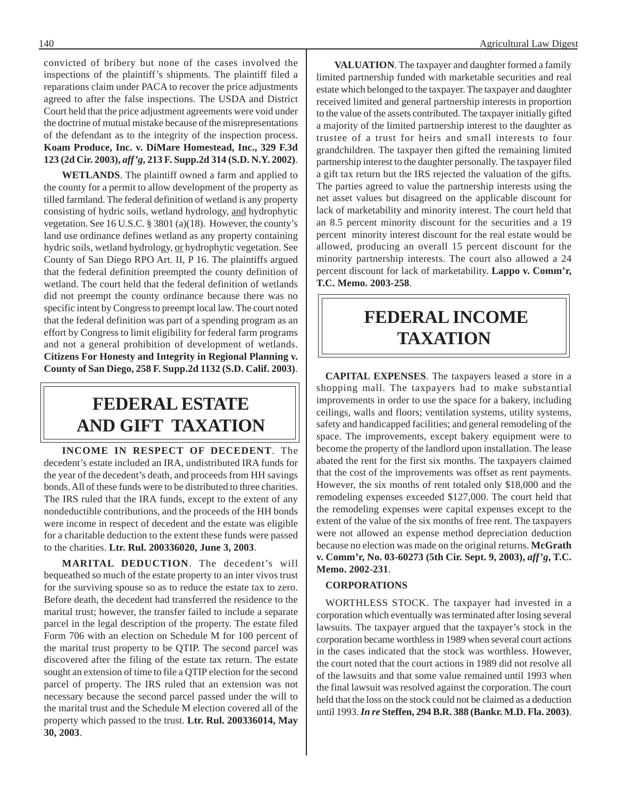convicted of bribery but none of the cases involved the inspections of the plaintiff's shipments. The plaintiff filed a reparations claim under PACA to recover the price adjustments agreed to after the false inspections. The USDA and District Court held that the price adjustment agreements were void under the doctrine of mutual mistake because of the misrepresentations of the defendant as to the integrity of the inspection process. **Koam Produce, Inc. v. DiMare Homestead, Inc., 329 F.3d 123 (2d Cir. 2003),** *aff'g***, 213 F. Supp.2d 314 (S.D. N.Y. 2002)**.

**WETLANDS**. The plaintiff owned a farm and applied to the county for a permit to allow development of the property as tilled farmland. The federal definition of wetland is any property consisting of hydric soils, wetland hydrology, and hydrophytic vegetation. See 16 U.S.C. § 3801 (a)(18). However, the county's land use ordinance defines wetland as any property containing hydric soils, wetland hydrology, or hydrophytic vegetation. See County of San Diego RPO Art. II, P 16. The plaintiffs argued that the federal definition preempted the county definition of wetland. The court held that the federal definition of wetlands did not preempt the county ordinance because there was no specific intent by Congress to preempt local law. The court noted that the federal definition was part of a spending program as an effort by Congress to limit eligibility for federal farm programs and not a general prohibition of development of wetlands. **Citizens For Honesty and Integrity in Regional Planning v. County of San Diego, 258 F. Supp.2d 1132 (S.D. Calif. 2003)**.

## **FEDERAL ESTATE AND GIFT TAXATION**

**INCOME IN RESPECT OF DECEDENT**. The decedent's estate included an IRA, undistributed IRA funds for the year of the decedent's death, and proceeds from HH savings bonds. All of these funds were to be distributed to three charities. The IRS ruled that the IRA funds, except to the extent of any nondeductible contributions, and the proceeds of the HH bonds were income in respect of decedent and the estate was eligible for a charitable deduction to the extent these funds were passed to the charities. **Ltr. Rul. 200336020, June 3, 2003**.

**MARITAL DEDUCTION**. The decedent's will bequeathed so much of the estate property to an inter vivos trust for the surviving spouse so as to reduce the estate tax to zero. Before death, the decedent had transferred the residence to the marital trust; however, the transfer failed to include a separate parcel in the legal description of the property. The estate filed Form 706 with an election on Schedule M for 100 percent of the marital trust property to be QTIP. The second parcel was discovered after the filing of the estate tax return. The estate sought an extension of time to file a QTIP election for the second parcel of property. The IRS ruled that an extension was not necessary because the second parcel passed under the will to the marital trust and the Schedule M election covered all of the property which passed to the trust. **Ltr. Rul. 200336014, May 30, 2003**.

**VALUATION**. The taxpayer and daughter formed a family limited partnership funded with marketable securities and real estate which belonged to the taxpayer. The taxpayer and daughter received limited and general partnership interests in proportion to the value of the assets contributed. The taxpayer initially gifted a majority of the limited partnership interest to the daughter as trustee of a trust for heirs and small interests to four grandchildren. The taxpayer then gifted the remaining limited partnership interest to the daughter personally. The taxpayer filed a gift tax return but the IRS rejected the valuation of the gifts. The parties agreed to value the partnership interests using the net asset values but disagreed on the applicable discount for lack of marketability and minority interest. The court held that an 8.5 percent minority discount for the securities and a 19 percent minority interest discount for the real estate would be allowed, producing an overall 15 percent discount for the minority partnership interests. The court also allowed a 24 percent discount for lack of marketability. **Lappo v. Comm'r, T.C. Memo. 2003-258**.

## **FEDERAL INCOME TAXATION**

**CAPITAL EXPENSES**. The taxpayers leased a store in a shopping mall. The taxpayers had to make substantial improvements in order to use the space for a bakery, including ceilings, walls and floors; ventilation systems, utility systems, safety and handicapped facilities; and general remodeling of the space. The improvements, except bakery equipment were to become the property of the landlord upon installation. The lease abated the rent for the first six months. The taxpayers claimed that the cost of the improvements was offset as rent payments. However, the six months of rent totaled only \$18,000 and the remodeling expenses exceeded \$127,000. The court held that the remodeling expenses were capital expenses except to the extent of the value of the six months of free rent. The taxpayers were not allowed an expense method depreciation deduction because no election was made on the original returns. **McGrath v. Comm'r, No. 03-60273 (5th Cir. Sept. 9, 2003),** *aff'g***, T.C. Memo. 2002-231**.

#### **CORPORATIONS**

WORTHLESS STOCK. The taxpayer had invested in a corporation which eventually was terminated after losing several lawsuits. The taxpayer argued that the taxpayer's stock in the corporation became worthless in 1989 when several court actions in the cases indicated that the stock was worthless. However, the court noted that the court actions in 1989 did not resolve all of the lawsuits and that some value remained until 1993 when the final lawsuit was resolved against the corporation. The court held that the loss on the stock could not be claimed as a deduction until 1993. *In re* **Steffen, 294 B.R. 388 (Bankr. M.D. Fla. 2003)**.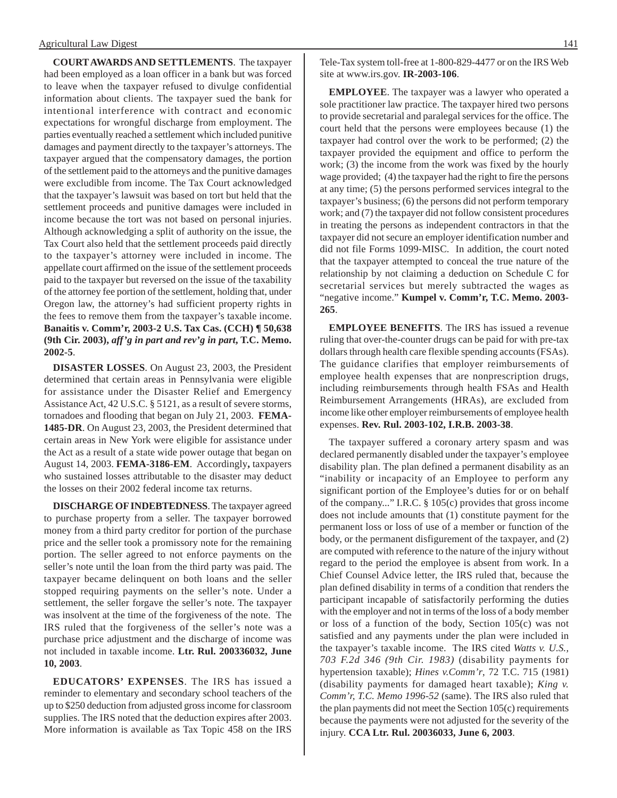**COURT AWARDS AND SETTLEMENTS**. The taxpayer had been employed as a loan officer in a bank but was forced to leave when the taxpayer refused to divulge confidential information about clients. The taxpayer sued the bank for intentional interference with contract and economic expectations for wrongful discharge from employment. The parties eventually reached a settlement which included punitive damages and payment directly to the taxpayer's attorneys. The taxpayer argued that the compensatory damages, the portion of the settlement paid to the attorneys and the punitive damages were excludible from income. The Tax Court acknowledged that the taxpayer's lawsuit was based on tort but held that the settlement proceeds and punitive damages were included in income because the tort was not based on personal injuries. Although acknowledging a split of authority on the issue, the Tax Court also held that the settlement proceeds paid directly to the taxpayer's attorney were included in income. The appellate court affirmed on the issue of the settlement proceeds paid to the taxpayer but reversed on the issue of the taxability of the attorney fee portion of the settlement, holding that, under Oregon law, the attorney's had sufficient property rights in the fees to remove them from the taxpayer's taxable income. **Banaitis v. Comm'r, 2003-2 U.S. Tax Cas. (CCH) ¶ 50,638 (9th Cir. 2003),** *aff'g in part and rev'g in part***, T.C. Memo. 2002-5**.

**DISASTER LOSSES**. On August 23, 2003, the President determined that certain areas in Pennsylvania were eligible for assistance under the Disaster Relief and Emergency Assistance Act, 42 U.S.C. § 5121, as a result of severe storms, tornadoes and flooding that began on July 21, 2003. **FEMA-1485-DR**. On August 23, 2003, the President determined that certain areas in New York were eligible for assistance under the Act as a result of a state wide power outage that began on August 14, 2003. **FEMA-3186-EM**. Accordingly**,** taxpayers who sustained losses attributable to the disaster may deduct the losses on their 2002 federal income tax returns.

**DISCHARGE OF INDEBTEDNESS**. The taxpayer agreed to purchase property from a seller. The taxpayer borrowed money from a third party creditor for portion of the purchase price and the seller took a promissory note for the remaining portion. The seller agreed to not enforce payments on the seller's note until the loan from the third party was paid. The taxpayer became delinquent on both loans and the seller stopped requiring payments on the seller's note. Under a settlement, the seller forgave the seller's note. The taxpayer was insolvent at the time of the forgiveness of the note. The IRS ruled that the forgiveness of the seller's note was a purchase price adjustment and the discharge of income was not included in taxable income. **Ltr. Rul. 200336032, June 10, 2003**.

**EDUCATORS' EXPENSES**. The IRS has issued a reminder to elementary and secondary school teachers of the up to \$250 deduction from adjusted gross income for classroom supplies. The IRS noted that the deduction expires after 2003. More information is available as Tax Topic 458 on the IRS

Tele-Tax system toll-free at 1-800-829-4477 or on the IRS Web site at www.irs.gov. **IR-2003-106**.

**EMPLOYEE**. The taxpayer was a lawyer who operated a sole practitioner law practice. The taxpayer hired two persons to provide secretarial and paralegal services for the office. The court held that the persons were employees because (1) the taxpayer had control over the work to be performed; (2) the taxpayer provided the equipment and office to perform the work; (3) the income from the work was fixed by the hourly wage provided; (4) the taxpayer had the right to fire the persons at any time; (5) the persons performed services integral to the taxpayer's business; (6) the persons did not perform temporary work; and (7) the taxpayer did not follow consistent procedures in treating the persons as independent contractors in that the taxpayer did not secure an employer identification number and did not file Forms 1099-MISC. In addition, the court noted that the taxpayer attempted to conceal the true nature of the relationship by not claiming a deduction on Schedule C for secretarial services but merely subtracted the wages as "negative income." **Kumpel v. Comm'r, T.C. Memo. 2003- 265**.

**EMPLOYEE BENEFITS**. The IRS has issued a revenue ruling that over-the-counter drugs can be paid for with pre-tax dollars through health care flexible spending accounts (FSAs). The guidance clarifies that employer reimbursements of employee health expenses that are nonprescription drugs, including reimbursements through health FSAs and Health Reimbursement Arrangements (HRAs), are excluded from income like other employer reimbursements of employee health expenses. **Rev. Rul. 2003-102, I.R.B. 2003-38**.

The taxpayer suffered a coronary artery spasm and was declared permanently disabled under the taxpayer's employee disability plan. The plan defined a permanent disability as an "inability or incapacity of an Employee to perform any significant portion of the Employee's duties for or on behalf of the company..." I.R.C. § 105(c) provides that gross income does not include amounts that (1) constitute payment for the permanent loss or loss of use of a member or function of the body, or the permanent disfigurement of the taxpayer, and (2) are computed with reference to the nature of the injury without regard to the period the employee is absent from work. In a Chief Counsel Advice letter, the IRS ruled that, because the plan defined disability in terms of a condition that renders the participant incapable of satisfactorily performing the duties with the employer and not in terms of the loss of a body member or loss of a function of the body, Section 105(c) was not satisfied and any payments under the plan were included in the taxpayer's taxable income. The IRS cited *Watts v. U.S., 703 F.2d 346 (9th Cir. 1983)* (disability payments for hypertension taxable); *Hines v.Comm'r*, 72 T.C. 715 (1981) (disability payments for damaged heart taxable); *King v. Comm'r, T.C. Memo 1996-52* (same). The IRS also ruled that the plan payments did not meet the Section 105(c) requirements because the payments were not adjusted for the severity of the injury. **CCA Ltr. Rul. 20036033, June 6, 2003**.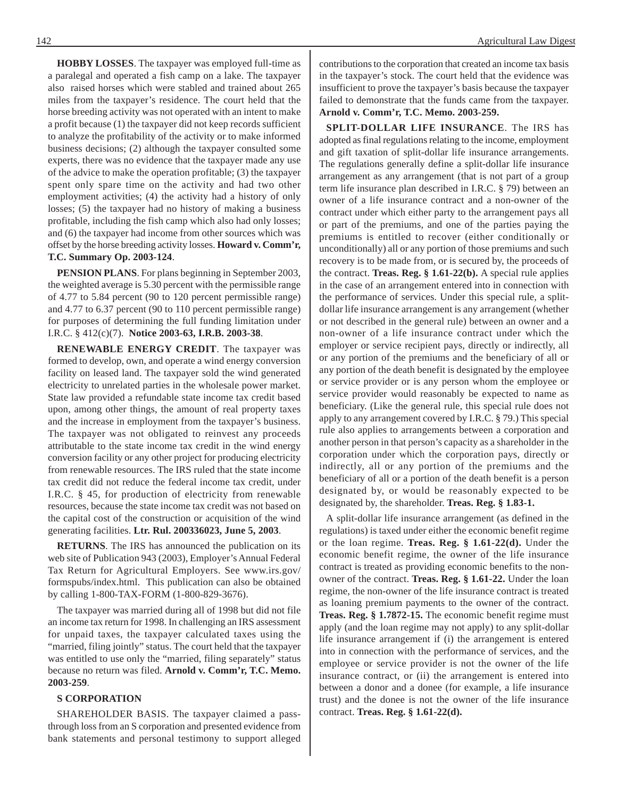**HOBBY LOSSES**. The taxpayer was employed full-time as a paralegal and operated a fish camp on a lake. The taxpayer also raised horses which were stabled and trained about 265 miles from the taxpayer's residence. The court held that the horse breeding activity was not operated with an intent to make a profit because (1) the taxpayer did not keep records sufficient to analyze the profitability of the activity or to make informed business decisions; (2) although the taxpayer consulted some experts, there was no evidence that the taxpayer made any use of the advice to make the operation profitable; (3) the taxpayer spent only spare time on the activity and had two other employment activities; (4) the activity had a history of only losses; (5) the taxpayer had no history of making a business profitable, including the fish camp which also had only losses; and (6) the taxpayer had income from other sources which was offset by the horse breeding activity losses. **Howard v. Comm'r, T.C. Summary Op. 2003-124**.

**PENSION PLANS**. For plans beginning in September 2003, the weighted average is 5.30 percent with the permissible range of 4.77 to 5.84 percent (90 to 120 percent permissible range) and 4.77 to 6.37 percent (90 to 110 percent permissible range) for purposes of determining the full funding limitation under I.R.C. § 412(c)(7). **Notice 2003-63, I.R.B. 2003-38**.

**RENEWABLE ENERGY CREDIT**. The taxpayer was formed to develop, own, and operate a wind energy conversion facility on leased land. The taxpayer sold the wind generated electricity to unrelated parties in the wholesale power market. State law provided a refundable state income tax credit based upon, among other things, the amount of real property taxes and the increase in employment from the taxpayer's business. The taxpayer was not obligated to reinvest any proceeds attributable to the state income tax credit in the wind energy conversion facility or any other project for producing electricity from renewable resources. The IRS ruled that the state income tax credit did not reduce the federal income tax credit, under I.R.C. § 45, for production of electricity from renewable resources, because the state income tax credit was not based on the capital cost of the construction or acquisition of the wind generating facilities. **Ltr. Rul. 200336023, June 5, 2003**.

**RETURNS**. The IRS has announced the publication on its web site of Publication 943 (2003), Employer's Annual Federal Tax Return for Agricultural Employers. See www.irs.gov/ formspubs/index.html. This publication can also be obtained by calling 1-800-TAX-FORM (1-800-829-3676).

The taxpayer was married during all of 1998 but did not file an income tax return for 1998. In challenging an IRS assessment for unpaid taxes, the taxpayer calculated taxes using the "married, filing jointly" status. The court held that the taxpayer was entitled to use only the "married, filing separately" status because no return was filed. **Arnold v. Comm'r, T.C. Memo. 2003-259**.

#### **S CORPORATION**

SHAREHOLDER BASIS. The taxpayer claimed a passthrough loss from an S corporation and presented evidence from bank statements and personal testimony to support alleged

142 **Agricultural Law Digest** Agricultural Law Digest

contributions to the corporation that created an income tax basis in the taxpayer's stock. The court held that the evidence was insufficient to prove the taxpayer's basis because the taxpayer failed to demonstrate that the funds came from the taxpayer. **Arnold v. Comm'r, T.C. Memo. 2003-259.**

**SPLIT-DOLLAR LIFE INSURANCE**. The IRS has adopted as final regulations relating to the income, employment and gift taxation of split-dollar life insurance arrangements. The regulations generally define a split-dollar life insurance arrangement as any arrangement (that is not part of a group term life insurance plan described in I.R.C. § 79) between an owner of a life insurance contract and a non-owner of the contract under which either party to the arrangement pays all or part of the premiums, and one of the parties paying the premiums is entitled to recover (either conditionally or unconditionally) all or any portion of those premiums and such recovery is to be made from, or is secured by, the proceeds of the contract. **Treas. Reg. § 1.61-22(b).** A special rule applies in the case of an arrangement entered into in connection with the performance of services. Under this special rule, a splitdollar life insurance arrangement is any arrangement (whether or not described in the general rule) between an owner and a non-owner of a life insurance contract under which the employer or service recipient pays, directly or indirectly, all or any portion of the premiums and the beneficiary of all or any portion of the death benefit is designated by the employee or service provider or is any person whom the employee or service provider would reasonably be expected to name as beneficiary. (Like the general rule, this special rule does not apply to any arrangement covered by I.R.C. § 79.) This special rule also applies to arrangements between a corporation and another person in that person's capacity as a shareholder in the corporation under which the corporation pays, directly or indirectly, all or any portion of the premiums and the beneficiary of all or a portion of the death benefit is a person designated by, or would be reasonably expected to be designated by, the shareholder. **Treas. Reg. § 1.83-1.**

A split-dollar life insurance arrangement (as defined in the regulations) is taxed under either the economic benefit regime or the loan regime. **Treas. Reg. § 1.61-22(d).** Under the economic benefit regime, the owner of the life insurance contract is treated as providing economic benefits to the nonowner of the contract. **Treas. Reg. § 1.61-22.** Under the loan regime, the non-owner of the life insurance contract is treated as loaning premium payments to the owner of the contract. **Treas. Reg. § 1.7872-15.** The economic benefit regime must apply (and the loan regime may not apply) to any split-dollar life insurance arrangement if (i) the arrangement is entered into in connection with the performance of services, and the employee or service provider is not the owner of the life insurance contract, or (ii) the arrangement is entered into between a donor and a donee (for example, a life insurance trust) and the donee is not the owner of the life insurance contract. **Treas. Reg. § 1.61-22(d).**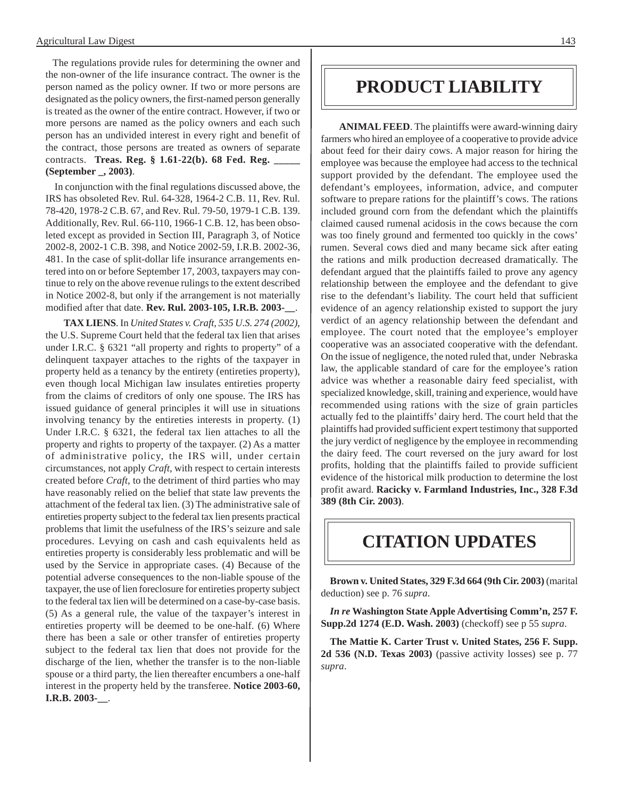The regulations provide rules for determining the owner and the non-owner of the life insurance contract. The owner is the person named as the policy owner. If two or more persons are designated as the policy owners, the first-named person generally is treated as the owner of the entire contract. However, if two or more persons are named as the policy owners and each such person has an undivided interest in every right and benefit of the contract, those persons are treated as owners of separate contracts. **Treas. Reg. § 1.61-22(b). 68 Fed. Reg. \_\_\_\_\_ (September \_, 2003)**.

In conjunction with the final regulations discussed above, the IRS has obsoleted Rev. Rul. 64-328, 1964-2 C.B. 11, Rev. Rul. 78-420, 1978-2 C.B. 67, and Rev. Rul. 79-50, 1979-1 C.B. 139. Additionally, Rev. Rul. 66-110, 1966-1 C.B. 12, has been obsoleted except as provided in Section III, Paragraph 3, of Notice 2002-8, 2002-1 C.B. 398, and Notice 2002-59, I.R.B. 2002-36, 481. In the case of split-dollar life insurance arrangements entered into on or before September 17, 2003, taxpayers may continue to rely on the above revenue rulings to the extent described in Notice 2002-8, but only if the arrangement is not materially modified after that date. **Rev. Rul. 2003-105, I.R.B. 2003-\_\_**.

**TAX LIENS**. In *United States v. Craft, 535 U.S. 274 (2002)*, the U.S. Supreme Court held that the federal tax lien that arises under I.R.C. § 6321 "all property and rights to property" of a delinquent taxpayer attaches to the rights of the taxpayer in property held as a tenancy by the entirety (entireties property), even though local Michigan law insulates entireties property from the claims of creditors of only one spouse. The IRS has issued guidance of general principles it will use in situations involving tenancy by the entireties interests in property. (1) Under I.R.C. § 6321, the federal tax lien attaches to all the property and rights to property of the taxpayer. (2) As a matter of administrative policy, the IRS will, under certain circumstances, not apply *Craft*, with respect to certain interests created before *Craft*, to the detriment of third parties who may have reasonably relied on the belief that state law prevents the attachment of the federal tax lien. (3) The administrative sale of entireties property subject to the federal tax lien presents practical problems that limit the usefulness of the IRS's seizure and sale procedures. Levying on cash and cash equivalents held as entireties property is considerably less problematic and will be used by the Service in appropriate cases. (4) Because of the potential adverse consequences to the non-liable spouse of the taxpayer, the use of lien foreclosure for entireties property subject to the federal tax lien will be determined on a case-by-case basis. (5) As a general rule, the value of the taxpayer's interest in entireties property will be deemed to be one-half. (6) Where there has been a sale or other transfer of entireties property subject to the federal tax lien that does not provide for the discharge of the lien, whether the transfer is to the non-liable spouse or a third party, the lien thereafter encumbers a one-half interest in the property held by the transferee. **Notice 2003-60, I.R.B. 2003-\_\_**.

## **PRODUCT LIABILITY**

**ANIMAL FEED**. The plaintiffs were award-winning dairy farmers who hired an employee of a cooperative to provide advice about feed for their dairy cows. A major reason for hiring the employee was because the employee had access to the technical support provided by the defendant. The employee used the defendant's employees, information, advice, and computer software to prepare rations for the plaintiff's cows. The rations included ground corn from the defendant which the plaintiffs claimed caused rumenal acidosis in the cows because the corn was too finely ground and fermented too quickly in the cows' rumen. Several cows died and many became sick after eating the rations and milk production decreased dramatically. The defendant argued that the plaintiffs failed to prove any agency relationship between the employee and the defendant to give rise to the defendant's liability. The court held that sufficient evidence of an agency relationship existed to support the jury verdict of an agency relationship between the defendant and employee. The court noted that the employee's employer cooperative was an associated cooperative with the defendant. On the issue of negligence, the noted ruled that, under Nebraska law, the applicable standard of care for the employee's ration advice was whether a reasonable dairy feed specialist, with specialized knowledge, skill, training and experience, would have recommended using rations with the size of grain particles actually fed to the plaintiffs' dairy herd. The court held that the plaintiffs had provided sufficient expert testimony that supported the jury verdict of negligence by the employee in recommending the dairy feed. The court reversed on the jury award for lost profits, holding that the plaintiffs failed to provide sufficient evidence of the historical milk production to determine the lost profit award. **Racicky v. Farmland Industries, Inc., 328 F.3d 389 (8th Cir. 2003)**.

## **CITATION UPDATES**

**Brown v. United States, 329 F.3d 664 (9th Cir. 2003)** (marital deduction) see p. 76 *supra*.

*In re* **Washington State Apple Advertising Comm'n, 257 F. Supp.2d 1274 (E.D. Wash. 2003)** (checkoff) see p 55 *supra*.

**The Mattie K. Carter Trust v. United States, 256 F. Supp. 2d 536 (N.D. Texas 2003)** (passive activity losses) see p. 77 *supra*.